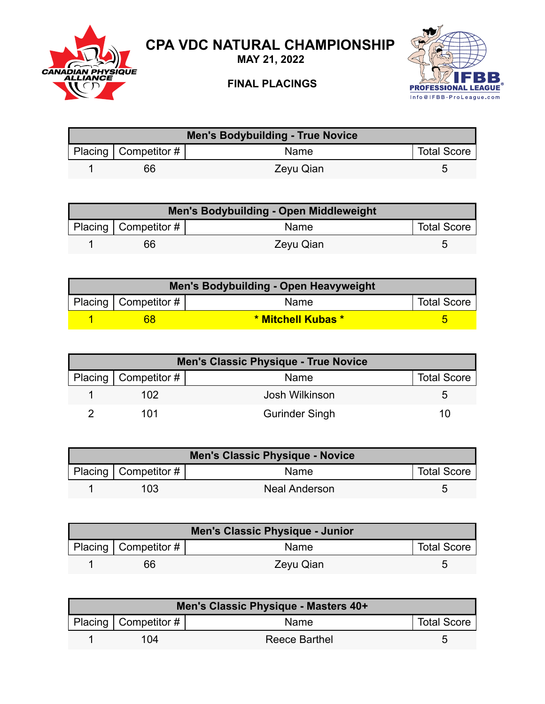

## **CPA VDC NATURAL CHAMPIONSHIP**

**MAY 21, 2022**

## **FINAL PLACINGS**



| Men's Bodybuilding - True Novice |                        |           |                    |  |
|----------------------------------|------------------------|-----------|--------------------|--|
|                                  | Placing   Competitor # | Name      | <b>Total Score</b> |  |
|                                  | 66                     | Zeyu Qian | ∽                  |  |

| Men's Bodybuilding - Open Middleweight |                           |           |                    |  |
|----------------------------------------|---------------------------|-----------|--------------------|--|
|                                        | Placing   Competitor $\#$ | Name      | <b>Total Score</b> |  |
|                                        | 66                        | Zeyu Qian |                    |  |

| Men's Bodybuilding - Open Heavyweight |                           |                    |                    |  |
|---------------------------------------|---------------------------|--------------------|--------------------|--|
|                                       | Placing   Competitor $\#$ | Name               | <b>Total Score</b> |  |
|                                       | 68                        | * Mitchell Kubas * |                    |  |

| <b>Men's Classic Physique - True Novice</b> |                            |                       |                    |  |
|---------------------------------------------|----------------------------|-----------------------|--------------------|--|
|                                             | Placing   Competitor # $ $ | Name                  | <b>Total Score</b> |  |
|                                             | 102                        | Josh Wilkinson        |                    |  |
|                                             | 101                        | <b>Gurinder Singh</b> | 10                 |  |

| <b>Men's Classic Physique - Novice</b> |                           |               |                    |  |
|----------------------------------------|---------------------------|---------------|--------------------|--|
|                                        | Placing   Competitor $\#$ | <b>Name</b>   | <b>Total Score</b> |  |
|                                        | 103                       | Neal Anderson |                    |  |

| <b>Men's Classic Physique - Junior</b> |                        |           |                    |
|----------------------------------------|------------------------|-----------|--------------------|
|                                        | Placing   Competitor # | Name      | <b>Total Score</b> |
|                                        | 66                     | Zeyu Qian |                    |

| Men's Classic Physique - Masters 40+ |                        |               |                    |  |
|--------------------------------------|------------------------|---------------|--------------------|--|
|                                      | Placing   Competitor # | <b>Name</b>   | <b>Total Score</b> |  |
|                                      | 104                    | Reece Barthel |                    |  |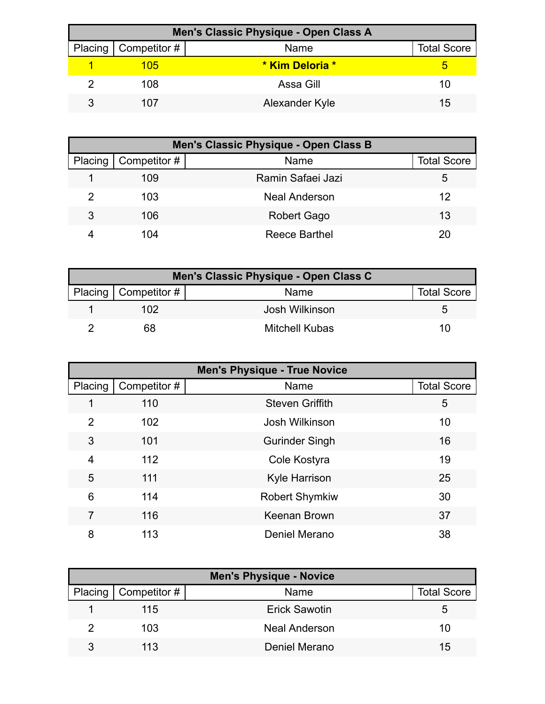| Men's Classic Physique - Open Class A |                        |                 |                    |  |
|---------------------------------------|------------------------|-----------------|--------------------|--|
|                                       | Placing   Competitor # | Name            | <b>Total Score</b> |  |
|                                       | 105                    | * Kim Deloria * |                    |  |
|                                       | 108                    | Assa Gill       | 10                 |  |
|                                       | 107                    | Alexander Kyle  | 15                 |  |

|         | Men's Classic Physique - Open Class B |                      |                    |  |  |
|---------|---------------------------------------|----------------------|--------------------|--|--|
| Placing | Competitor #                          | Name                 | <b>Total Score</b> |  |  |
|         | 109                                   | Ramin Safaei Jazi    | ა                  |  |  |
| 2       | 103                                   | <b>Neal Anderson</b> | 12                 |  |  |
| 3       | 106                                   | Robert Gago          | 13                 |  |  |
|         | 104                                   | Reece Barthel        | 20                 |  |  |

| Men's Classic Physique - Open Class C |                          |                |                    |  |
|---------------------------------------|--------------------------|----------------|--------------------|--|
|                                       | Placing   Competitor $#$ | Name           | <b>Total Score</b> |  |
|                                       | 102                      | Josh Wilkinson | ∽                  |  |
|                                       | 68                       | Mitchell Kubas | 10                 |  |

| <b>Men's Physique - True Novice</b> |              |                        |                    |
|-------------------------------------|--------------|------------------------|--------------------|
| Placing                             | Competitor # | Name                   | <b>Total Score</b> |
| 1                                   | 110          | <b>Steven Griffith</b> | 5                  |
| 2                                   | 102          | Josh Wilkinson         | 10                 |
| 3                                   | 101          | <b>Gurinder Singh</b>  | 16                 |
| 4                                   | 112          | Cole Kostyra           | 19                 |
| 5                                   | 111          | <b>Kyle Harrison</b>   | 25                 |
| 6                                   | 114          | <b>Robert Shymkiw</b>  | 30                 |
| 7                                   | 116          | Keenan Brown           | 37                 |
| 8                                   | 113          | Deniel Merano          | 38                 |

| <b>Men's Physique - Novice</b> |                              |                      |                    |  |
|--------------------------------|------------------------------|----------------------|--------------------|--|
|                                | Placing $\vert$ Competitor # | Name                 | <b>Total Score</b> |  |
|                                | 115                          | Erick Sawotin        | G                  |  |
|                                | 103                          | <b>Neal Anderson</b> | 10                 |  |
| 3                              | 11.3                         | Deniel Merano        | 15                 |  |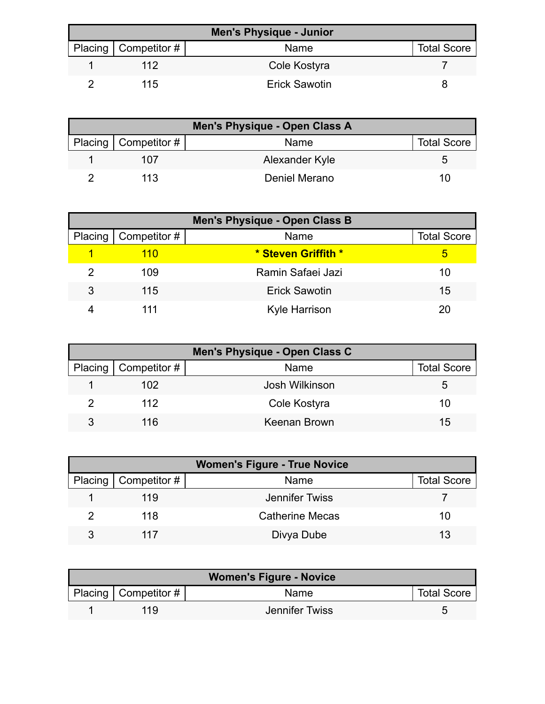| <b>Men's Physique - Junior</b> |                          |                      |                    |
|--------------------------------|--------------------------|----------------------|--------------------|
|                                | Placing   Competitor $#$ | Name                 | <b>Total Score</b> |
|                                | 112                      | Cole Kostyra         |                    |
|                                | 115                      | <b>Erick Sawotin</b> |                    |

| Men's Physique - Open Class A |                |                    |  |  |
|-------------------------------|----------------|--------------------|--|--|
| Placing   Competitor #        | <b>Name</b>    | <b>Total Score</b> |  |  |
| 107                           | Alexander Kyle |                    |  |  |
| 113                           | Deniel Merano  | 10                 |  |  |

| <b>Men's Physique - Open Class B</b> |                        |                      |                    |
|--------------------------------------|------------------------|----------------------|--------------------|
|                                      | Placing   Competitor # | Name                 | <b>Total Score</b> |
|                                      | 110                    | * Steven Griffith *  | 5                  |
|                                      | 109                    | Ramin Safaei Jazi    | 10                 |
| 3                                    | 115                    | <b>Erick Sawotin</b> | 15                 |
|                                      |                        | <b>Kyle Harrison</b> | 20                 |

| Men's Physique - Open Class C |                              |                |                    |  |
|-------------------------------|------------------------------|----------------|--------------------|--|
|                               | Placing $\vert$ Competitor # | Name           | <b>Total Score</b> |  |
|                               | 102                          | Josh Wilkinson | 5                  |  |
|                               | 112                          | Cole Kostyra   | 10                 |  |
| વ                             | 116                          | Keenan Brown   | 15                 |  |

| <b>Women's Figure - True Novice</b> |                              |                        |                    |  |
|-------------------------------------|------------------------------|------------------------|--------------------|--|
|                                     | Placing $\vert$ Competitor # | Name                   | <b>Total Score</b> |  |
|                                     | 119                          | Jennifer Twiss         |                    |  |
|                                     | 118                          | <b>Catherine Mecas</b> | 10                 |  |
| २                                   | 117                          | Divya Dube             | 13                 |  |

| <b>Women's Figure - Novice</b> |                        |                |                    |
|--------------------------------|------------------------|----------------|--------------------|
|                                | Placing   Competitor # | <b>Name</b>    | <b>Total Score</b> |
|                                | 119                    | Jennifer Twiss |                    |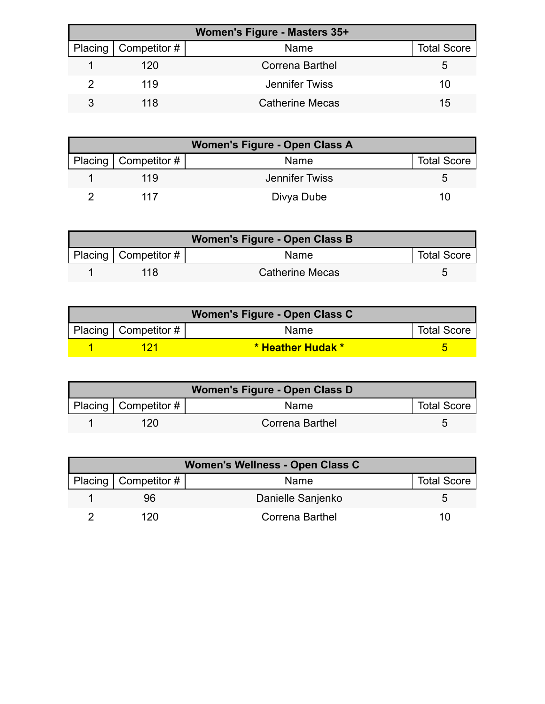| <b>Women's Figure - Masters 35+</b> |                        |                        |                    |  |
|-------------------------------------|------------------------|------------------------|--------------------|--|
|                                     | Placing   Competitor # | Name                   | <b>Total Score</b> |  |
|                                     | 120                    | <b>Correna Barthel</b> | Ð                  |  |
|                                     | 119                    | Jennifer Twiss         | 10                 |  |
|                                     | 118                    | <b>Catherine Mecas</b> | 15                 |  |

| Women's Figure - Open Class A |                |                    |  |  |
|-------------------------------|----------------|--------------------|--|--|
| Placing   Competitor $#$      | Name           | <b>Total Score</b> |  |  |
| 119                           | Jennifer Twiss |                    |  |  |
| 117                           | Divya Dube     | 10                 |  |  |

| Women's Figure - Open Class B |                           |                        |                    |  |
|-------------------------------|---------------------------|------------------------|--------------------|--|
|                               | Placing   Competitor $\#$ | Name                   | <b>Total Score</b> |  |
|                               | 118                       | <b>Catherine Mecas</b> |                    |  |

| Women's Figure - Open Class C |                    |                           |  |  |
|-------------------------------|--------------------|---------------------------|--|--|
| Placing   Competitor $#$      | <b>Total Score</b> |                           |  |  |
|                               | 171                | <u>* Heather Hudak * </u> |  |  |

| Women's Figure - Open Class D |                        |                 |                    |  |
|-------------------------------|------------------------|-----------------|--------------------|--|
|                               | Placing   Competitor # | Name            | <b>Total Score</b> |  |
|                               | 120                    | Correna Barthel |                    |  |

| Women's Wellness - Open Class C |                        |                   |                    |  |
|---------------------------------|------------------------|-------------------|--------------------|--|
|                                 | Placing   Competitor # | Name              | <b>Total Score</b> |  |
|                                 | 96                     | Danielle Sanjenko | h                  |  |
|                                 | 120                    | Correna Barthel   | 10                 |  |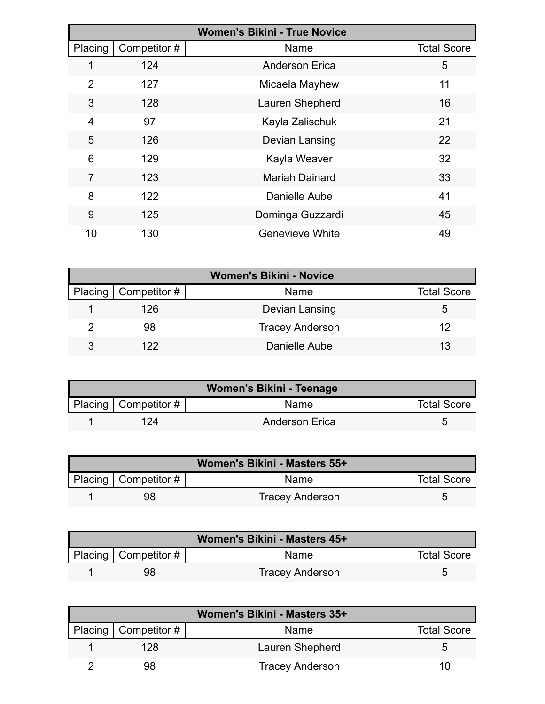| <b>Women's Bikini - True Novice</b> |              |                        |                    |  |
|-------------------------------------|--------------|------------------------|--------------------|--|
| Placing                             | Competitor # | Name                   | <b>Total Score</b> |  |
|                                     | 124          | <b>Anderson Erica</b>  | 5                  |  |
| 2                                   | 127          | Micaela Mayhew         | 11                 |  |
| 3                                   | 128          | Lauren Shepherd        | 16                 |  |
| 4                                   | 97           | Kayla Zalischuk        | 21                 |  |
| 5                                   | 126          | Devian Lansing         | 22                 |  |
| 6                                   | 129          | Kayla Weaver           | 32                 |  |
| 7                                   | 123          | <b>Mariah Dainard</b>  | 33                 |  |
| 8                                   | 122          | Danielle Aube          | 41                 |  |
| 9                                   | 125          | Dominga Guzzardi       | 45                 |  |
| 10                                  | 130          | <b>Genevieve White</b> | 49                 |  |

| <b>Women's Bikini - Novice</b> |                        |                        |                    |  |
|--------------------------------|------------------------|------------------------|--------------------|--|
|                                | Placing   Competitor # | <b>Name</b>            | <b>Total Score</b> |  |
|                                | 126                    | Devian Lansing         | 5.                 |  |
|                                | 98                     | <b>Tracey Anderson</b> | 12                 |  |
| 3                              | 122                    | Danielle Aube          | 13                 |  |

| Women's Bikini - Teenage |                           |                       |                    |  |  |
|--------------------------|---------------------------|-----------------------|--------------------|--|--|
|                          | Placing   Competitor $\#$ | <b>Name</b>           | <b>Total Score</b> |  |  |
|                          | 124                       | <b>Anderson Erica</b> |                    |  |  |

| Women's Bikini - Masters 55+ |                          |                        |                    |  |  |
|------------------------------|--------------------------|------------------------|--------------------|--|--|
|                              | Placing   Competitor $#$ | <b>Name</b>            | <b>Total Score</b> |  |  |
|                              | 98                       | <b>Tracey Anderson</b> |                    |  |  |

|                        | Women's Bikini - Masters 45+ |                    |
|------------------------|------------------------------|--------------------|
| Placing   Competitor # | <b>Name</b>                  | <b>Total Score</b> |
| 98                     | <b>Tracey Anderson</b>       |                    |

| Women's Bikini - Masters 35+ |                          |                        |                    |  |
|------------------------------|--------------------------|------------------------|--------------------|--|
|                              | Placing   Competitor $#$ | <b>Name</b>            | <b>Total Score</b> |  |
|                              | 128                      | Lauren Shepherd        |                    |  |
|                              |                          | <b>Tracey Anderson</b> | 10                 |  |